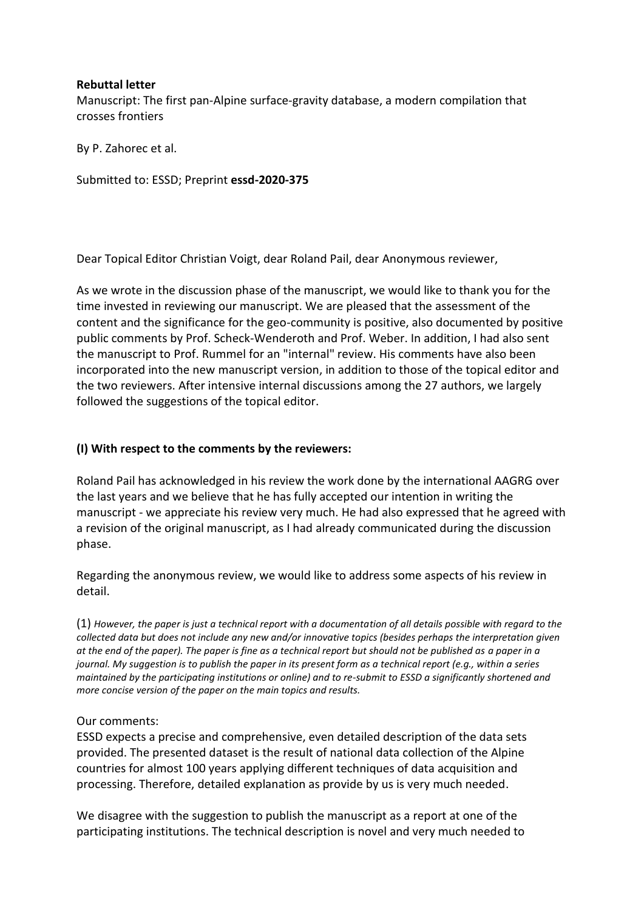### **Rebuttal letter**

Manuscript: The first pan-Alpine surface-gravity database, a modern compilation that crosses frontiers

By P. Zahorec et al.

Submitted to: ESSD; Preprint **essd-2020-375**

Dear Topical Editor Christian Voigt, dear Roland Pail, dear Anonymous reviewer,

As we wrote in the discussion phase of the manuscript, we would like to thank you for the time invested in reviewing our manuscript. We are pleased that the assessment of the content and the significance for the geo-community is positive, also documented by positive public comments by Prof. Scheck-Wenderoth and Prof. Weber. In addition, I had also sent the manuscript to Prof. Rummel for an "internal" review. His comments have also been incorporated into the new manuscript version, in addition to those of the topical editor and the two reviewers. After intensive internal discussions among the 27 authors, we largely followed the suggestions of the topical editor.

## **(I) With respect to the comments by the reviewers:**

Roland Pail has acknowledged in his review the work done by the international AAGRG over the last years and we believe that he has fully accepted our intention in writing the manuscript - we appreciate his review very much. He had also expressed that he agreed with a revision of the original manuscript, as I had already communicated during the discussion phase.

Regarding the anonymous review, we would like to address some aspects of his review in detail.

(1) *However, the paper is just a technical report with a documentation of all details possible with regard to the collected data but does not include any new and/or innovative topics (besides perhaps the interpretation given at the end of the paper). The paper is fine as a technical report but should not be published as a paper in a journal. My suggestion is to publish the paper in its present form as a technical report (e.g., within a series maintained by the participating institutions or online) and to re-submit to ESSD a significantly shortened and more concise version of the paper on the main topics and results.*

### Our comments:

ESSD expects a precise and comprehensive, even detailed description of the data sets provided. The presented dataset is the result of national data collection of the Alpine countries for almost 100 years applying different techniques of data acquisition and processing. Therefore, detailed explanation as provide by us is very much needed.

We disagree with the suggestion to publish the manuscript as a report at one of the participating institutions. The technical description is novel and very much needed to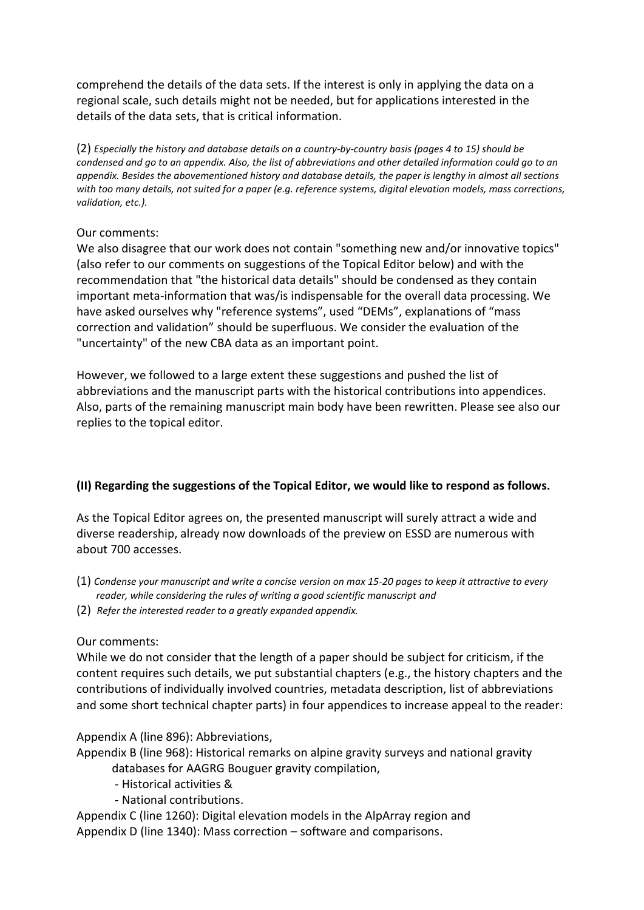comprehend the details of the data sets. If the interest is only in applying the data on a regional scale, such details might not be needed, but for applications interested in the details of the data sets, that is critical information.

(2) *Especially the history and database details on a country-by-country basis (pages 4 to 15) should be condensed and go to an appendix. Also, the list of abbreviations and other detailed information could go to an appendix. Besides the abovementioned history and database details, the paper is lengthy in almost all sections with too many details, not suited for a paper (e.g. reference systems, digital elevation models, mass corrections, validation, etc.).*

## Our comments:

We also disagree that our work does not contain "something new and/or innovative topics" (also refer to our comments on suggestions of the Topical Editor below) and with the recommendation that "the historical data details" should be condensed as they contain important meta-information that was/is indispensable for the overall data processing. We have asked ourselves why "reference systems", used "DEMs", explanations of "mass correction and validation" should be superfluous. We consider the evaluation of the "uncertainty" of the new CBA data as an important point.

However, we followed to a large extent these suggestions and pushed the list of abbreviations and the manuscript parts with the historical contributions into appendices. Also, parts of the remaining manuscript main body have been rewritten. Please see also our replies to the topical editor.

# **(II) Regarding the suggestions of the Topical Editor, we would like to respond as follows.**

As the Topical Editor agrees on, the presented manuscript will surely attract a wide and diverse readership, already now downloads of the preview on ESSD are numerous with about 700 accesses.

- (1) *Condense your manuscript and write a concise version on max 15-20 pages to keep it attractive to every reader, while considering the rules of writing a good scientific manuscript and*
- (2) *Refer the interested reader to a greatly expanded appendix.*

# Our comments:

While we do not consider that the length of a paper should be subject for criticism, if the content requires such details, we put substantial chapters (e.g., the history chapters and the contributions of individually involved countries, metadata description, list of abbreviations and some short technical chapter parts) in four appendices to increase appeal to the reader:

# Appendix A (line 896): Abbreviations,

Appendix B (line 968): Historical remarks on alpine gravity surveys and national gravity databases for AAGRG Bouguer gravity compilation,

- Historical activities &
- National contributions.

Appendix C (line 1260): Digital elevation models in the AlpArray region and Appendix D (line 1340): Mass correction – software and comparisons.